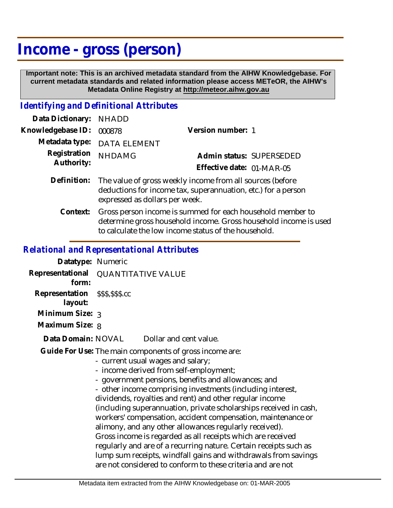# **Income - gross (person)**

 **Important note: This is an archived metadata standard from the AIHW Knowledgebase. For current metadata standards and related information please access METeOR, the AIHW's Metadata Online Registry at http://meteor.aihw.gov.au**

# *Identifying and Definitional Attributes*

| Data Dictionary: NHADD |                                                                                                                                                              |                           |  |
|------------------------|--------------------------------------------------------------------------------------------------------------------------------------------------------------|---------------------------|--|
| Knowledgebase ID:      | 000878                                                                                                                                                       | Version number: 1         |  |
|                        | Metadata type: DATA ELEMENT                                                                                                                                  |                           |  |
| Registration           | <b>NHDAMG</b>                                                                                                                                                | Admin status: SUPERSEDED  |  |
| Authority:             |                                                                                                                                                              | Effective date: 01-MAR-05 |  |
| Definition:            | The value of gross weekly income from all sources (before<br>deductions for income tax, superannuation, etc.) for a person<br>expressed as dollars per week. |                           |  |

Gross person income is summed for each household member to determine gross household income. Gross household income is used to calculate the low income status of the household. **Context:**

#### *Relational and Representational Attributes*

| Datatype: Numeric                          |                                                                                                                                                                                                                                                                                                                        |
|--------------------------------------------|------------------------------------------------------------------------------------------------------------------------------------------------------------------------------------------------------------------------------------------------------------------------------------------------------------------------|
| form:                                      | Representational QUANTITATIVE VALUE                                                                                                                                                                                                                                                                                    |
| Representation \$\$\$,\$\$\$.cc<br>layout: |                                                                                                                                                                                                                                                                                                                        |
| Minimum Size: 3                            |                                                                                                                                                                                                                                                                                                                        |
| Maximum Size: 8                            |                                                                                                                                                                                                                                                                                                                        |
| Data Domain: NOVAL                         | Dollar and cent value.                                                                                                                                                                                                                                                                                                 |
|                                            | Guide For Use: The main components of gross income are:<br>- current usual wages and salary;<br>- income derived from self-employment;<br>- government pensions, benefits and allowances; and<br>- other income comprising investments (including interest,<br>dividends, royalties and rent) and other regular income |

r regular income (including superannuation, private scholarships received in cash, workers' compensation, accident compensation, maintenance or alimony, and any other allowances regularly received). Gross income is regarded as all receipts which are received regularly and are of a recurring nature. Certain receipts such as lump sum receipts, windfall gains and withdrawals from savings are not considered to conform to these criteria and are not